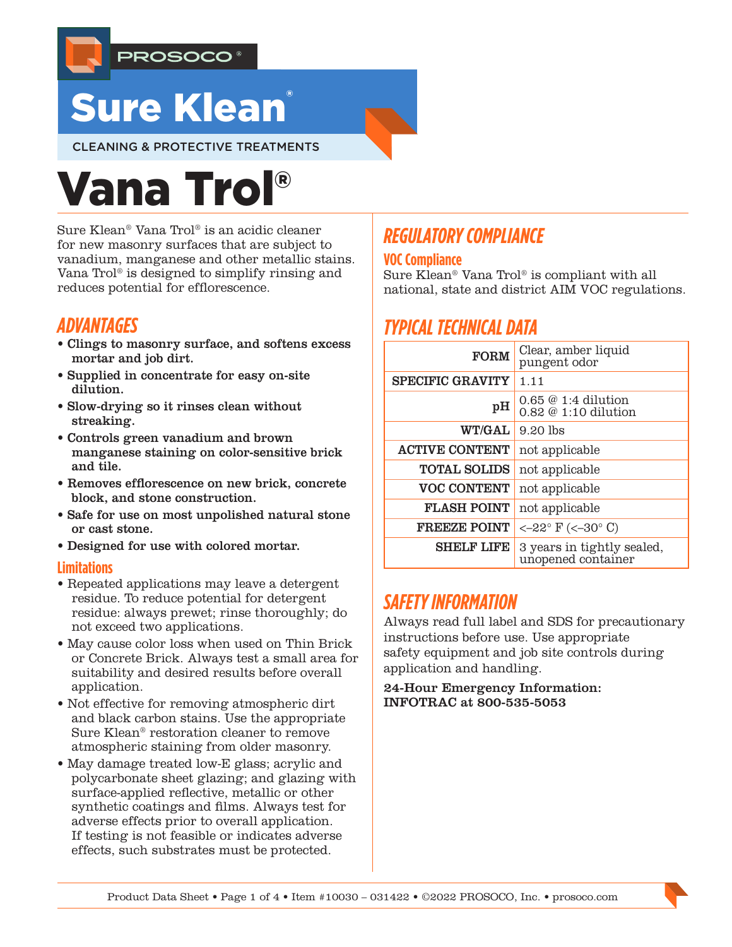

# **Sure Klean**

CLEANING & PROTECTIVE TREATMENTS

# Vana Trol®

Sure Klean® Vana Trol® is an acidic cleaner for new masonry surfaces that are subject to vanadium, manganese and other metallic stains. Vana Trol® is designed to simplify rinsing and reduces potential for efflorescence.

## *ADVANTAGES*

- Clings to masonry surface, and softens excess mortar and job dirt.
- Supplied in concentrate for easy on-site dilution.
- Slow-drying so it rinses clean without streaking.
- Controls green vanadium and brown manganese staining on color-sensitive brick and tile.
- Removes efflorescence on new brick, concrete block, and stone construction.
- Safe for use on most unpolished natural stone or cast stone.
- Designed for use with colored mortar.

#### **Limitations**

- Repeated applications may leave a detergent residue. To reduce potential for detergent residue: always prewet; rinse thoroughly; do not exceed two applications.
- May cause color loss when used on Thin Brick or Concrete Brick. Always test a small area for suitability and desired results before overall application.
- Not effective for removing atmospheric dirt and black carbon stains. Use the appropriate Sure Klean® restoration cleaner to remove atmospheric staining from older masonry.
- May damage treated low-E glass; acrylic and polycarbonate sheet glazing; and glazing with surface-applied reflective, metallic or other synthetic coatings and films. Always test for adverse effects prior to overall application. If testing is not feasible or indicates adverse effects, such substrates must be protected.

# *REGULATORY COMPLIANCE*

#### **VOC Compliance**

Sure Klean® Vana Trol® is compliant with all national, state and district AIM VOC regulations.

# *TYPICAL TECHNICAL DATA*

| <b>FORM</b>             | Clear, amber liquid<br>pungent odor              |  |  |
|-------------------------|--------------------------------------------------|--|--|
| <b>SPECIFIC GRAVITY</b> | 1.11                                             |  |  |
| pH                      | $0.65 \& 1:4$ dilution<br>0.82 @ 1:10 dilution   |  |  |
| <b>WT/GAL</b>           | $9.20$ lbs                                       |  |  |
| <b>ACTIVE CONTENT</b>   | not applicable                                   |  |  |
| <b>TOTAL SOLIDS</b>     | not applicable                                   |  |  |
| <b>VOC CONTENT</b>      | not applicable                                   |  |  |
| <b>FLASH POINT</b>      | not applicable                                   |  |  |
| <b>FREEZE POINT</b>     | $<-22^{\circ}$ F ( $<-30^{\circ}$ C)             |  |  |
| <b>SHELF LIFE</b>       | 3 years in tightly sealed,<br>unopened container |  |  |

## *SAFETY INFORMATION*

Always read full label and SDS for precautionary instructions before use. Use appropriate safety equipment and job site controls during application and handling.

24-Hour Emergency Information: INFOTRAC at 800-535-5053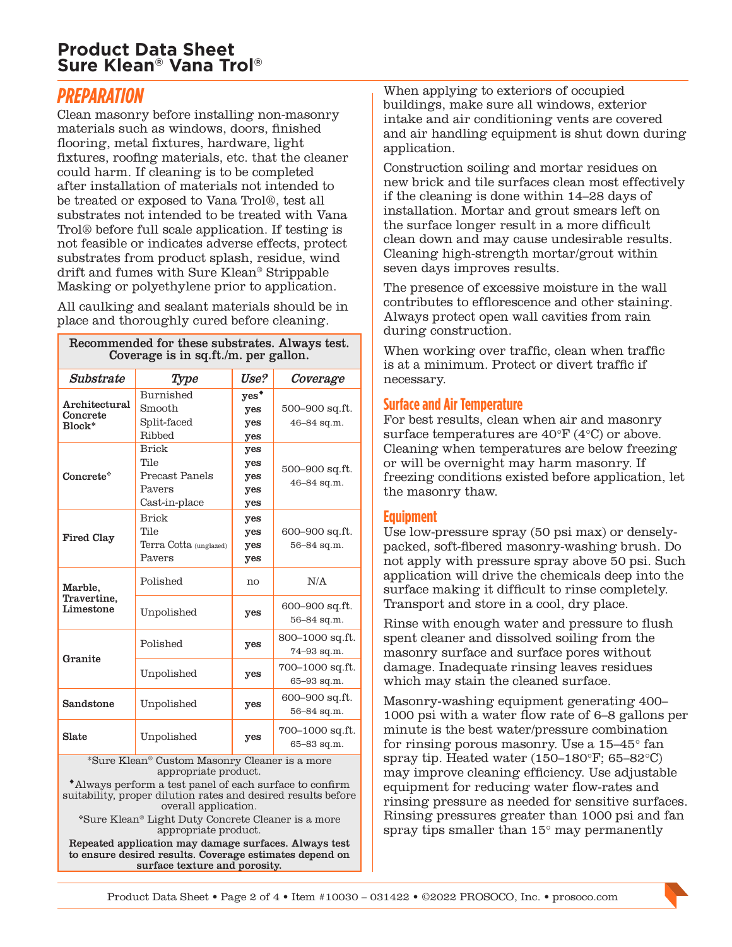### **Product Data Sheet Sure Klean® Vana Trol®**

## *PREPARATION*

Clean masonry before installing non-masonry materials such as windows, doors, finished flooring, metal fixtures, hardware, light fixtures, roofing materials, etc. that the cleaner could harm. If cleaning is to be completed after installation of materials not intended to be treated or exposed to Vana Trol®, test all substrates not intended to be treated with Vana Trol® before full scale application. If testing is not feasible or indicates adverse effects, protect substrates from product splash, residue, wind drift and fumes with Sure Klean® Strippable Masking or polyethylene prior to application.

All caulking and sealant materials should be in place and thoroughly cured before cleaning.

| Recommended for these substrates. Always test.<br>Coverage is in sq.ft./m. per gallon. |                                                                         |                                        |                                |
|----------------------------------------------------------------------------------------|-------------------------------------------------------------------------|----------------------------------------|--------------------------------|
| Substrate                                                                              | Type                                                                    | Use?                                   | Coverage                       |
| Architectural<br>Concrete<br>Block*                                                    | Burnished<br>Smooth<br>Split-faced<br>Ribbed                            | yes <sup>*</sup><br>yes<br>yes         | 500-900 sq.ft.<br>46-84 sq.m.  |
| Concrete*                                                                              | <b>Brick</b><br>Tile<br>Precast Panels<br>Pavers<br>Cast-in-place       | yes<br>yes<br>yes<br>yes<br>yes<br>yes | 500–900 sq.ft.<br>46-84 sq.m.  |
| <b>Fired Clay</b>                                                                      | <b>Brick</b><br>Tile<br>Terra Cotta (unglazed)<br>Payers                | yes<br>yes<br>yes<br>yes               | 600-900 sq.ft.<br>56-84 sq.m.  |
| Marble,<br>Travertine,<br>Limestone                                                    | Polished                                                                | no                                     | N/A                            |
|                                                                                        | Unpolished                                                              | yes                                    | 600–900 sq.ft.<br>56-84 sq.m.  |
| Granite                                                                                | Polished                                                                | yes                                    | 800-1000 sq.ft.<br>74-93 sq.m. |
|                                                                                        | Unpolished                                                              | yes                                    | 700-1000 sq.ft.<br>65-93 sq.m. |
| Sandstone                                                                              | Unpolished                                                              | yes                                    | 600-900 sq.ft.<br>56-84 sq.m.  |
| Slate                                                                                  | Unpolished<br>*Sure Klean <sup>®</sup> Custom Masonry Cleaner is a more | yes                                    | 700-1000 sq.ft.<br>65-83 sq.m. |

\*Sure Klean® Custom Masonry Cleaner is a more appropriate product.

Always perform a test panel of each surface to confirm suitability, proper dilution rates and desired results before overall application.

Sure Klean® Light Duty Concrete Cleaner is a more appropriate product.

Repeated application may damage surfaces. Always test to ensure desired results. Coverage estimates depend on surface texture and porosity.

When applying to exteriors of occupied buildings, make sure all windows, exterior intake and air conditioning vents are covered and air handling equipment is shut down during application.

Construction soiling and mortar residues on new brick and tile surfaces clean most effectively if the cleaning is done within 14–28 days of installation. Mortar and grout smears left on the surface longer result in a more difficult clean down and may cause undesirable results. Cleaning high-strength mortar/grout within seven days improves results.

The presence of excessive moisture in the wall contributes to efflorescence and other staining. Always protect open wall cavities from rain during construction.

When working over traffic, clean when traffic is at a minimum. Protect or divert traffic if necessary.

#### **Surface and Air Temperature**

For best results, clean when air and masonry surface temperatures are 40°F (4°C) or above. Cleaning when temperatures are below freezing or will be overnight may harm masonry. If freezing conditions existed before application, let the masonry thaw.

#### **Equipment**

Use low-pressure spray (50 psi max) or denselypacked, soft-fibered masonry-washing brush. Do not apply with pressure spray above 50 psi. Such application will drive the chemicals deep into the surface making it difficult to rinse completely. Transport and store in a cool, dry place.

Rinse with enough water and pressure to flush spent cleaner and dissolved soiling from the masonry surface and surface pores without damage. Inadequate rinsing leaves residues which may stain the cleaned surface.

Masonry-washing equipment generating 400– 1000 psi with a water flow rate of 6–8 gallons per minute is the best water/pressure combination for rinsing porous masonry. Use a 15–45° fan spray tip. Heated water (150–180°F; 65–82°C) may improve cleaning efficiency. Use adjustable equipment for reducing water flow-rates and rinsing pressure as needed for sensitive surfaces. Rinsing pressures greater than 1000 psi and fan spray tips smaller than 15° may permanently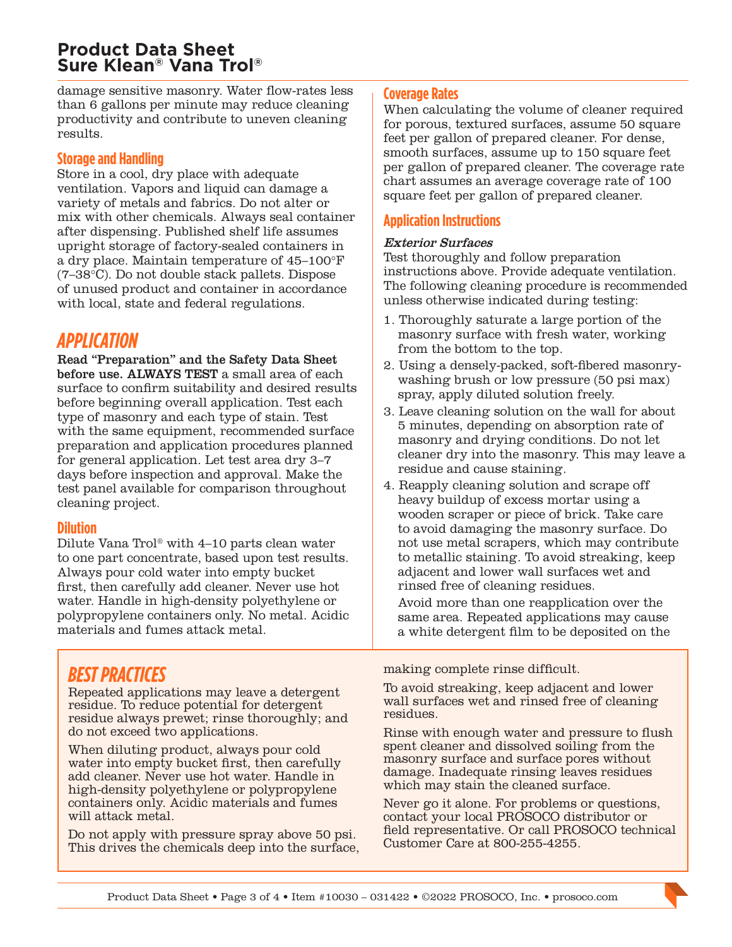## **Product Data Sheet Sure Klean® Vana Trol®**

damage sensitive masonry. Water flow-rates less than 6 gallons per minute may reduce cleaning productivity and contribute to uneven cleaning results.

#### **Storage and Handling**

Store in a cool, dry place with adequate ventilation. Vapors and liquid can damage a variety of metals and fabrics. Do not alter or mix with other chemicals. Always seal container after dispensing. Published shelf life assumes upright storage of factory-sealed containers in a dry place. Maintain temperature of 45–100°F (7–38°C). Do not double stack pallets. Dispose of unused product and container in accordance with local, state and federal regulations.

## *APPLICATION*

Read "Preparation" and the Safety Data Sheet before use. ALWAYS TEST a small area of each surface to confirm suitability and desired results before beginning overall application. Test each type of masonry and each type of stain. Test with the same equipment, recommended surface preparation and application procedures planned for general application. Let test area dry 3–7 days before inspection and approval. Make the test panel available for comparison throughout cleaning project.

#### **Dilution**

Dilute Vana Trol® with 4–10 parts clean water to one part concentrate, based upon test results. Always pour cold water into empty bucket first, then carefully add cleaner. Never use hot water. Handle in high-density polyethylene or polypropylene containers only. No metal. Acidic materials and fumes attack metal.

## *BEST PRACTICES*

Repeated applications may leave a detergent residue. To reduce potential for detergent residue always prewet; rinse thoroughly; and do not exceed two applications.

When diluting product, always pour cold water into empty bucket first, then carefully add cleaner. Never use hot water. Handle in high-density polyethylene or polypropylene containers only. Acidic materials and fumes will attack metal.

Do not apply with pressure spray above 50 psi. This drives the chemicals deep into the surface,

#### **Coverage Rates**

When calculating the volume of cleaner required for porous, textured surfaces, assume 50 square feet per gallon of prepared cleaner. For dense, smooth surfaces, assume up to 150 square feet per gallon of prepared cleaner. The coverage rate chart assumes an average coverage rate of 100 square feet per gallon of prepared cleaner.

#### **Application Instructions**

#### Exterior Surfaces

Test thoroughly and follow preparation instructions above. Provide adequate ventilation. The following cleaning procedure is recommended unless otherwise indicated during testing:

- 1. Thoroughly saturate a large portion of the masonry surface with fresh water, working from the bottom to the top.
- 2. Using a densely-packed, soft-fibered masonrywashing brush or low pressure (50 psi max) spray, apply diluted solution freely.
- 3. Leave cleaning solution on the wall for about 5 minutes, depending on absorption rate of masonry and drying conditions. Do not let cleaner dry into the masonry. This may leave a residue and cause staining.
- 4. Reapply cleaning solution and scrape off heavy buildup of excess mortar using a wooden scraper or piece of brick. Take care to avoid damaging the masonry surface. Do not use metal scrapers, which may contribute to metallic staining. To avoid streaking, keep adjacent and lower wall surfaces wet and rinsed free of cleaning residues.

Avoid more than one reapplication over the same area. Repeated applications may cause a white detergent film to be deposited on the

making complete rinse difficult.

To avoid streaking, keep adjacent and lower wall surfaces wet and rinsed free of cleaning residues.

Rinse with enough water and pressure to flush spent cleaner and dissolved soiling from the masonry surface and surface pores without damage. Inadequate rinsing leaves residues which may stain the cleaned surface.

Never go it alone. For problems or questions, contact your local PROSOCO distributor or field representative. Or call PROSOCO technical Customer Care at 800-255-4255.